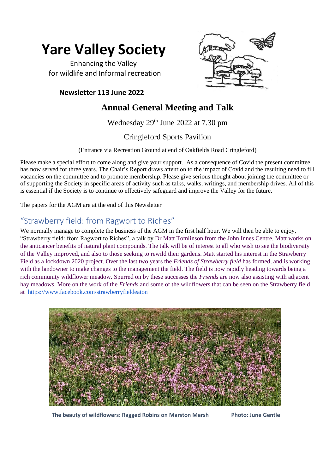# **Yare Valley Society**

 Enhancing the Valley for wildlife and Informal recreation

#### **Newsletter 113 June 2022**



# **Annual General Meeting and Talk**

Wednesday 29<sup>th</sup> June 2022 at 7.30 pm

#### Cringleford Sports Pavilion

(Entrance via Recreation Ground at end of Oakfields Road Cringleford)

Please make a special effort to come along and give your support. As a consequence of Covid the present committee has now served for three years. The Chair's Report draws attention to the impact of Covid and the resulting need to fill vacancies on the committee and to promote membership. Please give serious thought about joining the committee or of supporting the Society in specific areas of activity such as talks, walks, writings, and membership drives. All of this is essential if the Society is to continue to effectively safeguard and improve the Valley for the future.

The papers for the AGM are at the end of this Newsletter

# "Strawberry field: from Ragwort to Riches"

We normally manage to complete the business of the AGM in the first half hour. We will then be able to enjoy, "Strawberry field: from Ragwort to Riches", a talk by Dr Matt Tomlinson from the John Innes Centre. Matt works on the anticancer benefits of natural plant compounds. The talk will be of interest to all who wish to see the biodiversity of the Valley improved, and also to those seeking to rewild their gardens. Matt started his interest in the Strawberry Field as a lockdown 2020 project. Over the last two years the *Friends of Strawberry field* has formed, and is working with the landowner to make changes to the management the field. The field is now rapidly heading towards being a rich community wildflower meadow. Spurred on by these successes the *Friends* are now also assisting with adjacent hay meadows. More on the work of the *Friends* and some of the wildflowers that can be seen on the Strawberry field at <https://www.facebook.com/strawberryfieldeaton>



**The beauty of wildflowers: Ragged Robins on Marston Marsh Photo: June Gentle**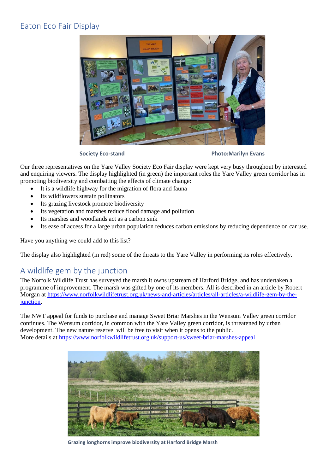### Eaton Eco Fair Display



**Society Eco-stand Photo:Marilyn Evans** 

Our three representatives on the Yare Valley Society Eco Fair display were kept very busy throughout by interested and enquiring viewers. The display highlighted (in green) the important roles the Yare Valley green corridor has in promoting biodiversity and combatting the effects of climate change:

- It is a wildlife highway for the migration of flora and fauna
- Its wildflowers sustain pollinators
- Its grazing livestock promote biodiversity
- Its vegetation and marshes reduce flood damage and pollution
- Its marshes and woodlands act as a carbon sink
- Its ease of access for a large urban population reduces carbon emissions by reducing dependence on car use.

Have you anything we could add to this list?

The display also highlighted (in red) some of the threats to the Yare Valley in performing its roles effectively.

# A wildlife gem by the junction

The Norfolk Wildlife Trust has surveyed the marsh it owns upstream of Harford Bridge, and has undertaken a programme of improvement. The marsh was gifted by one of its members. All is described in an article by Robert Morgan at [https://www.norfolkwildlifetrust.org.uk/news-and-articles/articles/all-articles/a-wildlife-gem-by-the](https://www.norfolkwildlifetrust.org.uk/news-and-articles/articles/all-articles/a-wildlife-gem-by-the-junction)[junction.](https://www.norfolkwildlifetrust.org.uk/news-and-articles/articles/all-articles/a-wildlife-gem-by-the-junction)

The NWT appeal for funds to purchase and manage Sweet Briar Marshes in the Wensum Valley green corridor continues. The Wensum corridor, in common with the Yare Valley green corridor, is threatened by urban development. The new nature reserve will be free to visit when it opens to the public. More details a[t https://www.norfolkwildlifetrust.org.uk/support-us/sweet-briar-marshes-appeal](https://www.norfolkwildlifetrust.org.uk/support-us/sweet-briar-marshes-appeal)



**Grazing longhorns improve biodiversity at Harford Bridge Marsh**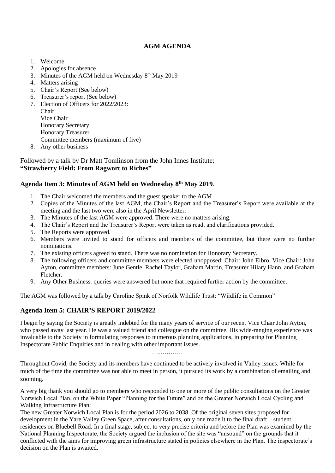#### **AGM AGENDA**

- 1. Welcome
- 2. Apologies for absence
- 3. Minutes of the AGM held on Wednesday  $8<sup>th</sup>$  May 2019
- 4. Matters arising
- 5. Chair's Report (See below)
- 6. Treasurer's report (See below)
- 7. Election of Officers for 2022/2023: Chair Vice Chair Honorary Secretary Honorary Treasurer Committee members (maximum of five)
- 8. Any other business

Followed by a talk by Dr Matt Tomlinson from the John Innes Institute: **"Strawberry Field: From Ragwort to Riches"**

#### **Agenda Item 3: Minutes of AGM held on Wednesday 8th May 2019**.

- 1. The Chair welcomed the members and the guest speaker to the AGM
- 2. Copies of the Minutes of the last AGM, the Chair's Report and the Treasurer's Report were available at the meeting and the last two were also in the April Newsletter.
- 3. The Minutes of the last AGM were approved. There were no matters arising.
- 4. The Chair's Report and the Treasurer's Report were taken as read, and clarifications provided.
- 5. The Reports were approved.
- 6. Members were invited to stand for officers and members of the committee, but there were no further nominations.
- 7. The existing officers agreed to stand. There was no nomination for Honorary Secretary.
- 8. The following officers and committee members were elected unopposed: Chair: John Elbro, Vice Chair: John Ayton, committee members: June Gentle, Rachel Taylor, Graham Martin, Treasurer Hilary Hann, and Graham Fletcher.
- 9. Any Other Business: queries were answered but none that required further action by the committee.

The AGM was followed by a talk by Caroline Spink of Norfolk Wildlife Trust: "Wildlife in Common"

#### **Agenda Item 5: CHAIR'S REPORT 2019/2022**

I begin by saying the Society is greatly indebted for the many years of service of our recent Vice Chair John Ayton, who passed away last year. He was a valued friend and colleague on the committee. His wide-ranging experience was invaluable to the Society in formulating responses to numerous planning applications, in preparing for Planning Inspectorate Public Enquiries and in dealing with other important issues.

……………

Throughout Covid, the Society and its members have continued to be actively involved in Valley issues. While for much of the time the committee was not able to meet in person, it pursued its work by a combination of emailing and zooming.

A very big thank you should go to members who responded to one or more of the public consultations on the Greater Norwich Local Plan, on the White Paper "Planning for the Future" and on the Greater Norwich Local Cycling and Walking Infrastructure Plan:

The new Greater Norwich Local Plan is for the period 2026 to 2038. Of the original seven sites proposed for development in the Yare Valley Green Space, after consultations, only one made it to the final draft – student residences on Bluebell Road. In a final stage, subject to very precise criteria and before the Plan was examined by the National Planning Inspectorate, the Society argued the inclusion of the site was "unsound" on the grounds that it conflicted with the aims for improving green infrastructure stated in policies elsewhere in the Plan. The inspectorate's decision on the Plan is awaited.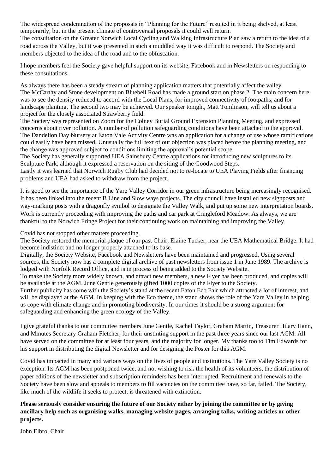The widespread condemnation of the proposals in "Planning for the Future" resulted in it being shelved, at least temporarily, but in the present climate of controversial proposals it could well return.

The consultation on the Greater Norwich Local Cycling and Walking Infrastructure Plan saw a return to the idea of a road across the Valley, but it was presented in such a muddled way it was difficult to respond. The Society and members objected to the idea of the road and to the obfuscation.

I hope members feel the Society gave helpful support on its website, Facebook and in Newsletters on responding to these consultations.

As always there has been a steady stream of planning application matters that potentially affect the valley. The McCarthy and Stone development on Bluebell Road has made a ground start on phase 2. The main concern here was to see the density reduced to accord with the Local Plans, for improved connectivity of footpaths, and for landscape planting. The second two may be achieved. Our speaker tonight, Matt Tomlinson, will tell us about a project for the closely associated Strawberry field.

The Society was represented on Zoom for the Colney Burial Ground Extension Planning Meeting, and expressed concerns about river pollution. A number of pollution safeguarding conditions have been attached to the approval. The Dandelion Day Nursery at Eaton Vale Activity Centre was an application for a change of use whose ramifications could easily have been missed. Unusually the full text of our objection was placed before the planning meeting, and the change was approved subject to conditions limiting the approval's potential scope.

The Society has generally supported UEA Sainsbury Centre applications for introducing new sculptures to its Sculpture Park, although it expressed a reservation on the siting of the Goodwood Steps.

Lastly it was learned that Norwich Rugby Club had decided not to re-locate to UEA Playing Fields after financing problems and UEA had asked to withdraw from the project.

It is good to see the importance of the Yare Valley Corridor in our green infrastructure being increasingly recognised. It has been linked into the recent B Line and Slow ways projects. The city council have installed new signposts and way-marking posts with a dragonfly symbol to designate the Valley Walk, and put up some new interpretation boards. Work is currently proceeding with improving the paths and car park at Cringleford Meadow. As always, we are thankful to the Norwich Fringe Project for their continuing work on maintaining and improving the Valley.

Covid has not stopped other matters proceeding.

The Society restored the memorial plaque of our past Chair, Elaine Tucker, near the UEA Mathematical Bridge. It had become indistinct and no longer properly attached to its base.

Digitally, the Society Website, Facebook and Newsletters have been maintained and progressed. Using several sources, the Society now has a complete digital archive of past newsletters from issue 1 in June 1989. The archive is lodged with Norfolk Record Office, and is in process of being added to the Society Website.

To make the Society more widely known, and attract new members, a new Flyer has been produced, and copies will be available at the AGM. June Gentle generously gifted 1000 copies of the Flyer to the Society.

Further publicity has come with the Society's stand at the recent Eaton Eco Fair which attracted a lot of interest, and will be displayed at the AGM. In keeping with the Eco theme, the stand shows the role of the Yare Valley in helping us cope with climate change and in promoting biodiversity. In our times it should be a strong argument for safeguarding and enhancing the green ecology of the Valley.

I give grateful thanks to our committee members June Gentle, Rachel Taylor, Graham Martin, Treasurer Hilary Hann, and Minutes Secretary Graham Fletcher, for their unstinting support in the past three years since our last AGM. All have served on the committee for at least four years, and the majority for longer. My thanks too to Tim Edwards for his support in distributing the digital Newsletter and for designing the Poster for this AGM.

Covid has impacted in many and various ways on the lives of people and institutions. The Yare Valley Society is no exception. Its AGM has been postponed twice, and not wishing to risk the health of its volunteers, the distribution of paper editions of the newsletter and subscription reminders has been interrupted. Recruitment and renewals to the Society have been slow and appeals to members to fill vacancies on the committee have, so far, failed. The Society, like much of the wildlife it seeks to protect, is threatened with extinction.

**Please seriously consider ensuring the future of our Society either by joining the committee or by giving ancillary help such as organising walks, managing website pages, arranging talks, writing articles or other projects.**

John Elbro, Chair.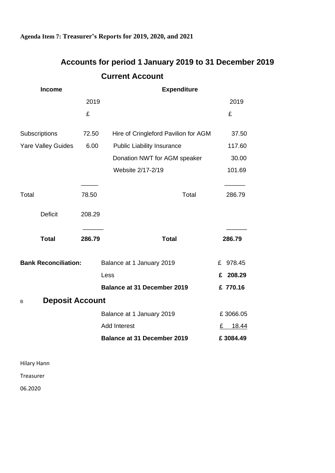#### **Agenda Item 7: Treasurer's Reports for 2019, 2020, and 2021**

|                             |        | <b>Current Account</b>               |             |
|-----------------------------|--------|--------------------------------------|-------------|
| <b>Income</b>               |        | <b>Expenditure</b>                   |             |
|                             | 2019   |                                      | 2019        |
|                             | £      |                                      | £           |
| <b>Subscriptions</b>        | 72.50  | Hire of Cringleford Pavilion for AGM | 37.50       |
| <b>Yare Valley Guides</b>   | 6.00   | <b>Public Liability Insurance</b>    | 117.60      |
|                             |        | Donation NWT for AGM speaker         | 30.00       |
|                             |        | Website 2/17-2/19                    | 101.69      |
| Total                       | 78.50  | Total                                | 286.79      |
| <b>Deficit</b>              | 208.29 |                                      |             |
| <b>Total</b>                | 286.79 | <b>Total</b>                         | 286.79      |
| <b>Bank Reconciliation:</b> |        | Balance at 1 January 2019            | £ 978.45    |
|                             |        | Less                                 | 208.29<br>£ |
|                             |        | <b>Balance at 31 December 2019</b>   | £ 770.16    |
| <b>Deposit Account</b><br>В |        |                                      |             |
|                             |        | Balance at 1 January 2019            | £3066.05    |
|                             |        | <b>Add Interest</b>                  | 18.44<br>£  |
|                             |        | <b>Balance at 31 December 2019</b>   | £3084.49    |

# **Accounts for period 1 January 2019 to 31 December 2019**

Hilary Hann

Treasurer

06.2020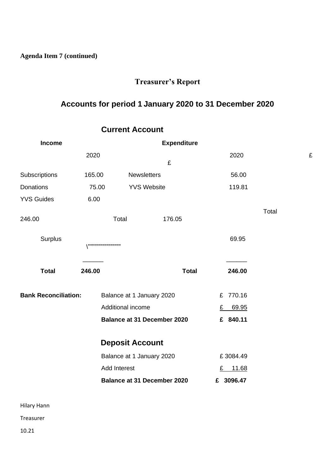**Agenda Item 7 (continued)**

# **Treasurer's Report**

# **Accounts for period 1 January 2020 to 31 December 2020**

| <b>Income</b>               |                                  |                           | <b>Expenditure</b>                 |              |           |       |   |
|-----------------------------|----------------------------------|---------------------------|------------------------------------|--------------|-----------|-------|---|
|                             | 2020                             |                           | £                                  |              | 2020      |       | £ |
| Subscriptions               | 165.00                           | <b>Newsletters</b>        |                                    |              | 56.00     |       |   |
| Donations                   | 75.00                            |                           | <b>YVS Website</b>                 |              | 119.81    |       |   |
| <b>YVS Guides</b>           | 6.00                             |                           |                                    |              |           |       |   |
| 246.00                      |                                  | Total                     | 176.05                             |              |           | Total |   |
| Surplus                     | ,,,,,,,,,,,,,,,,,,,,,,,,,,,,,,,, |                           |                                    |              | 69.95     |       |   |
| <b>Total</b>                | 246.00                           |                           |                                    | <b>Total</b> | 246.00    |       |   |
| <b>Bank Reconciliation:</b> |                                  | Balance at 1 January 2020 |                                    |              | £ 770.16  |       |   |
|                             |                                  | Additional income         |                                    |              | £ 69.95   |       |   |
|                             |                                  |                           | <b>Balance at 31 December 2020</b> |              | £ 840.11  |       |   |
|                             |                                  | <b>Deposit Account</b>    |                                    |              |           |       |   |
|                             |                                  | Balance at 1 January 2020 |                                    |              | £3084.49  |       |   |
|                             |                                  | <b>Add Interest</b>       |                                    |              | £ 11.68   |       |   |
|                             |                                  |                           | <b>Balance at 31 December 2020</b> |              | £ 3096.47 |       |   |
|                             |                                  |                           |                                    |              |           |       |   |
|                             |                                  |                           |                                    |              |           |       |   |

#### **Current Account**

Hilary Hann

Treasurer

10.21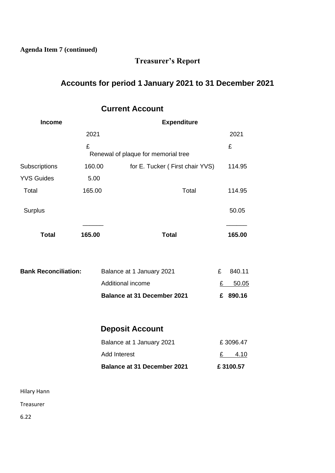**Agenda Item 7 (continued)**

# **Treasurer's Report**

# **Accounts for period 1 January 2021 to 31 December 2021**

#### **Current Account**

| <b>Income</b>               |        | <b>Expenditure</b>                  |   |          |  |  |
|-----------------------------|--------|-------------------------------------|---|----------|--|--|
|                             | 2021   |                                     |   | 2021     |  |  |
|                             | £      | Renewal of plaque for memorial tree |   | £        |  |  |
| Subscriptions               | 160.00 | for E. Tucker (First chair YVS)     |   | 114.95   |  |  |
| <b>YVS Guides</b>           | 5.00   |                                     |   |          |  |  |
| Total                       | 165.00 | Total                               |   | 114.95   |  |  |
| Surplus                     |        |                                     |   | 50.05    |  |  |
| <b>Total</b>                | 165.00 | <b>Total</b>                        |   | 165.00   |  |  |
| <b>Bank Reconciliation:</b> |        | Balance at 1 January 2021           | £ | 840.11   |  |  |
|                             |        | Additional income                   | £ | 50.05    |  |  |
|                             |        | <b>Balance at 31 December 2021</b>  |   | £ 890.16 |  |  |
|                             |        | <b>Deposit Account</b>              |   |          |  |  |
|                             |        | Balance at 1 January 2021           |   | £3096.47 |  |  |
|                             |        | <b>Add Interest</b>                 |   | £ 4.10   |  |  |
|                             |        | <b>Balance at 31 December 2021</b>  |   | £3100.57 |  |  |
|                             |        |                                     |   |          |  |  |

Hilary Hann

Treasurer

6.22